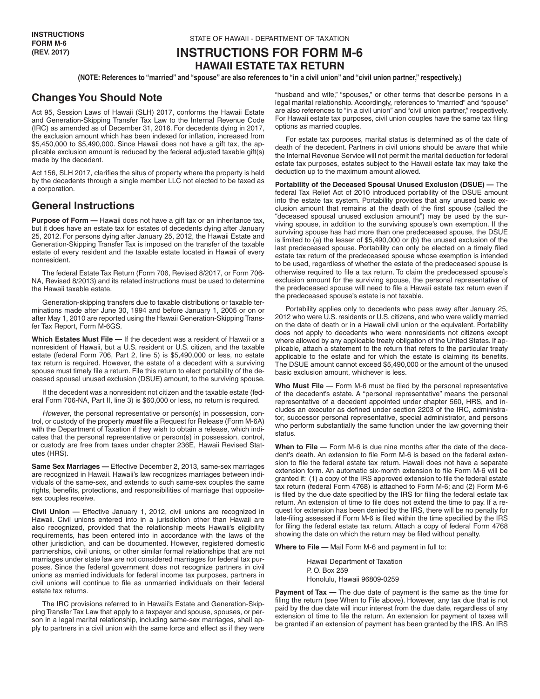# **INSTRUCTIONS FOR FORM M-6 HAWAII ESTATE TAX RETURN**

**(NOTE: References to "married" and "spouse" are also references to "in a civil union" and "civil union partner," respectively.)**

# **Changes You Should Note**

Act 95, Session Laws of Hawaii (SLH) 2017, conforms the Hawaii Estate and Generation-Skipping Transfer Tax Law to the Internal Revenue Code (IRC) as amended as of December 31, 2016. For decedents dying in 2017, the exclusion amount which has been indexed for inflation, increased from \$5,450,000 to \$5,490,000. Since Hawaii does not have a gift tax, the applicable exclusion amount is reduced by the federal adjusted taxable gift(s) made by the decedent.

Act 156, SLH 2017, clarifies the situs of property where the property is held by the decedents through a single member LLC not elected to be taxed as a corporation.

## **General Instructions**

**Purpose of Form —** Hawaii does not have a gift tax or an inheritance tax, but it does have an estate tax for estates of decedents dying after January 25, 2012. For persons dying after January 25, 2012, the Hawaii Estate and Generation-Skipping Transfer Tax is imposed on the transfer of the taxable estate of every resident and the taxable estate located in Hawaii of every nonresident.

The federal Estate Tax Return (Form 706, Revised 8/2017, or Form 706- NA, Revised 8/2013) and its related instructions must be used to determine the Hawaii taxable estate.

Generation-skipping transfers due to taxable distributions or taxable terminations made after June 30, 1994 and before January 1, 2005 or on or after May 1, 2010 are reported using the Hawaii Generation-Skipping Transfer Tax Report, Form M-6GS.

**Which Estates Must File —** If the decedent was a resident of Hawaii or a nonresident of Hawaii, but a U.S. resident or U.S. citizen, and the taxable estate (federal Form 706, Part 2, line 5) is \$5,490,000 or less, no estate tax return is required. However, the estate of a decedent with a surviving spouse must timely file a return. File this return to elect portability of the deceased spousal unused exclusion (DSUE) amount, to the surviving spouse.

If the decedent was a nonresident not citizen and the taxable estate (federal Form 706-NA, Part II, line 3) is \$60,000 or less, no return is required.

*However*, the personal representative or person(s) in possession, control, or custody of the property *must* file a Request for Release (Form M-6A) with the Department of Taxation if they wish to obtain a release, which indicates that the personal representative or person(s) in possession, control, or custody are free from taxes under chapter 236E, Hawaii Revised Statutes (HRS).

**Same Sex Marriages —** Effective December 2, 2013, same-sex marriages are recognized in Hawaii. Hawaii's law recognizes marriages between individuals of the same-sex, and extends to such same-sex couples the same rights, benefits, protections, and responsibilities of marriage that oppositesex couples receive.

**Civil Union —** Effective January 1, 2012, civil unions are recognized in Hawaii. Civil unions entered into in a jurisdiction other than Hawaii are also recognized, provided that the relationship meets Hawaii's eligibility requirements, has been entered into in accordance with the laws of the other jurisdiction, and can be documented. However, registered domestic partnerships, civil unions, or other similar formal relationships that are not marriages under state law are not considered marriages for federal tax purposes. Since the federal government does not recognize partners in civil unions as married individuals for federal income tax purposes, partners in civil unions will continue to file as unmarried individuals on their federal estate tax returns.

The IRC provisions referred to in Hawaii's Estate and Generation-Skipping Transfer Tax Law that apply to a taxpayer and spouse, spouses, or person in a legal marital relationship, including same-sex marriages, shall apply to partners in a civil union with the same force and effect as if they were

"husband and wife," "spouses," or other terms that describe persons in a legal marital relationship. Accordingly, references to "married" and "spouse" are also references to "in a civil union" and "civil union partner," respectively. For Hawaii estate tax purposes, civil union couples have the same tax filing options as married couples.

For estate tax purposes, marital status is determined as of the date of death of the decedent. Partners in civil unions should be aware that while the Internal Revenue Service will not permit the marital deduction for federal estate tax purposes, estates subject to the Hawaii estate tax may take the deduction up to the maximum amount allowed.

**Portability of the Deceased Spousal Unused Exclusion (DSUE) —** The federal Tax Relief Act of 2010 introduced portability of the DSUE amount into the estate tax system. Portability provides that any unused basic exclusion amount that remains at the death of the first spouse (called the "deceased spousal unused exclusion amount") may be used by the surviving spouse, in addition to the surviving spouse's own exemption. If the surviving spouse has had more than one predeceased spouse, the DSUE is limited to (a) the lesser of \$5,490,000 or (b) the unused exclusion of the last predeceased spouse. Portability can only be elected on a timely filed estate tax return of the predeceased spouse whose exemption is intended to be used, regardless of whether the estate of the predeceased spouse is otherwise required to file a tax return. To claim the predeceased spouse's exclusion amount for the surviving spouse, the personal representative of the predeceased spouse will need to file a Hawaii estate tax return even if the predeceased spouse's estate is not taxable.

Portability applies only to decedents who pass away after January 25, 2012 who were U.S. residents or U.S. citizens, and who were validly married on the date of death or in a Hawaii civil union or the equivalent. Portability does not apply to decedents who were nonresidents not citizens except where allowed by any applicable treaty obligation of the United States. If applicable, attach a statement to the return that refers to the particular treaty applicable to the estate and for which the estate is claiming its benefits. The DSUE amount cannot exceed \$5,490,000 or the amount of the unused basic exclusion amount, whichever is less.

**Who Must File —** Form M-6 must be filed by the personal representative of the decedent's estate. A "personal representative" means the personal representative of a decedent appointed under chapter 560, HRS, and includes an executor as defined under section 2203 of the IRC, administrator, successor personal representative, special administrator, and persons who perform substantially the same function under the law governing their status.

**When to File —** Form M-6 is due nine months after the date of the decedent's death. An extension to file Form M-6 is based on the federal extension to file the federal estate tax return. Hawaii does not have a separate extension form. An automatic six-month extension to file Form M-6 will be granted if: (1) a copy of the IRS approved extension to file the federal estate tax return (federal Form 4768) is attached to Form M-6; and (2) Form M-6 is filed by the due date specified by the IRS for filing the federal estate tax return. An extension of time to file does not extend the time to pay. If a request for extension has been denied by the IRS, there will be no penalty for late-filing assessed if Form M-6 is filed within the time specified by the IRS for filing the federal estate tax return. Attach a copy of federal Form 4768 showing the date on which the return may be filed without penalty.

**Where to File —** Mail Form M-6 and payment in full to:

Hawaii Department of Taxation P. O. Box 259 Honolulu, Hawaii 96809-0259

**Payment of Tax —** The due date of payment is the same as the time for filing the return (see When to File above). However, any tax due that is not paid by the due date will incur interest from the due date, regardless of any extension of time to file the return. An extension for payment of taxes will be granted if an extension of payment has been granted by the IRS. An IRS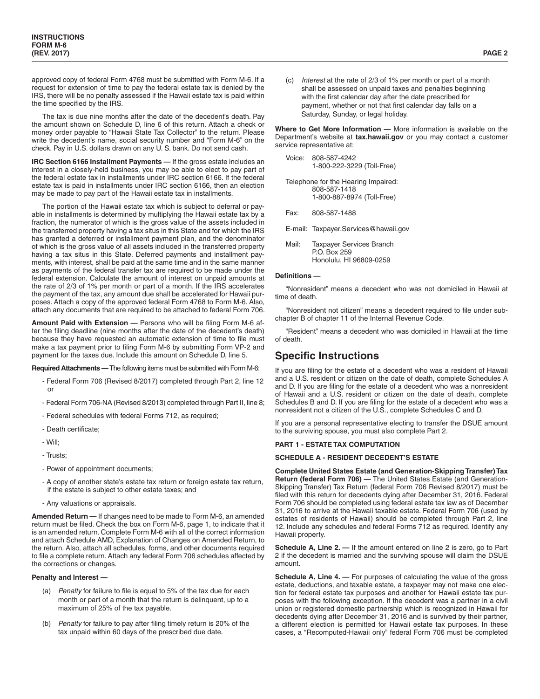approved copy of federal Form 4768 must be submitted with Form M-6. If a request for extension of time to pay the federal estate tax is denied by the IRS, there will be no penalty assessed if the Hawaii estate tax is paid within the time specified by the IRS.

The tax is due nine months after the date of the decedent's death. Pay the amount shown on Schedule D, line 6 of this return. Attach a check or money order payable to "Hawaii State Tax Collector" to the return. Please write the decedent's name, social security number and "Form M-6" on the check. Pay in U.S. dollars drawn on any U. S. bank. Do not send cash.

**IRC Section 6166 Installment Payments —** If the gross estate includes an interest in a closely-held business, you may be able to elect to pay part of the federal estate tax in installments under IRC section 6166. If the federal estate tax is paid in installments under IRC section 6166, then an election may be made to pay part of the Hawaii estate tax in installments.

The portion of the Hawaii estate tax which is subject to deferral or payable in installments is determined by multiplying the Hawaii estate tax by a fraction, the numerator of which is the gross value of the assets included in the transferred property having a tax situs in this State and for which the IRS has granted a deferred or installment payment plan, and the denominator of which is the gross value of all assets included in the transferred property having a tax situs in this State. Deferred payments and installment payments, with interest, shall be paid at the same time and in the same manner as payments of the federal transfer tax are required to be made under the federal extension. Calculate the amount of interest on unpaid amounts at the rate of 2/3 of 1% per month or part of a month. If the IRS accelerates the payment of the tax, any amount due shall be accelerated for Hawaii purposes. Attach a copy of the approved federal Form 4768 to Form M-6. Also, attach any documents that are required to be attached to federal Form 706.

**Amount Paid with Extension —** Persons who will be filing Form M-6 after the filing deadline (nine months after the date of the decedent's death) because they have requested an automatic extension of time to file must make a tax payment prior to filing Form M-6 by submitting Form VP-2 and payment for the taxes due. Include this amount on Schedule D, line 5.

**Required Attachments —** The following items must be submitted with Form M-6:

- Federal Form 706 (Revised 8/2017) completed through Part 2, line 12 or
- Federal Form 706-NA (Revised 8/2013) completed through Part II, line 8;
- Federal schedules with federal Forms 712, as required;
- Death certificate;
- Will;
- Trusts;
- Power of appointment documents;
- A copy of another state's estate tax return or foreign estate tax return, if the estate is subject to other estate taxes; and
- Any valuations or appraisals.

**Amended Return —** If changes need to be made to Form M-6, an amended return must be filed. Check the box on Form M-6, page 1, to indicate that it is an amended return. Complete Form M-6 with all of the correct information and attach Schedule AMD, Explanation of Changes on Amended Return, to the return. Also, attach all schedules, forms, and other documents required to file a complete return. Attach any federal Form 706 schedules affected by the corrections or changes.

#### **Penalty and Interest —**

- (a) *Penalty* for failure to file is equal to 5% of the tax due for each month or part of a month that the return is delinquent, up to a maximum of 25% of the tax payable.
- (b) *Penalty* for failure to pay after filing timely return is 20% of the tax unpaid within 60 days of the prescribed due date.

(c) *Interest* at the rate of 2/3 of 1% per month or part of a month shall be assessed on unpaid taxes and penalties beginning with the first calendar day after the date prescribed for payment, whether or not that first calendar day falls on a Saturday, Sunday, or legal holiday.

**Where to Get More Information —** More information is available on the Department's website at **tax.hawaii.gov** or you may contact a customer service representative at:

|       | Voice: 808-587-4242<br>1-800-222-3229 (Toll-Free)                                 |
|-------|-----------------------------------------------------------------------------------|
|       | Telephone for the Hearing Impaired:<br>808-587-1418<br>1-800-887-8974 (Toll-Free) |
| Fax:  | 808-587-1488                                                                      |
|       | E-mail: Taxpayer.Services@hawaii.gov                                              |
| Mail: | <b>Taxpayer Services Branch</b><br>P.O. Box 259                                   |

Honolulu, HI 96809-0259

#### **Definitions —**

"Nonresident" means a decedent who was not domiciled in Hawaii at time of death.

"Nonresident not citizen" means a decedent required to file under subchapter B of chapter 11 of the Internal Revenue Code.

"Resident" means a decedent who was domiciled in Hawaii at the time of death.

# **Specific Instructions**

If you are filing for the estate of a decedent who was a resident of Hawaii and a U.S. resident or citizen on the date of death, complete Schedules A and D. If you are filing for the estate of a decedent who was a nonresident of Hawaii and a U.S. resident or citizen on the date of death, complete Schedules B and D. If you are filing for the estate of a decedent who was a nonresident not a citizen of the U.S., complete Schedules C and D.

If you are a personal representative electing to transfer the DSUE amount to the surviving spouse, you must also complete Part 2.

#### **PART 1 - ESTATE TAX COMPUTATION**

#### **SCHEDULE A - RESIDENT DECEDENT'S ESTATE**

**Complete United States Estate (and Generation-Skipping Transfer) Tax Return (federal Form 706) —** The United States Estate (and Generation-Skipping Transfer) Tax Return (federal Form 706 Revised 8/2017) must be filed with this return for decedents dying after December 31, 2016. Federal Form 706 should be completed using federal estate tax law as of December 31, 2016 to arrive at the Hawaii taxable estate. Federal Form 706 (used by estates of residents of Hawaii) should be completed through Part 2, line 12. Include any schedules and federal Forms 712 as required. Identify any Hawaii property.

**Schedule A, Line 2.** — If the amount entered on line 2 is zero, go to Part 2 if the decedent is married and the surviving spouse will claim the DSUE amount.

**Schedule A, Line 4. —** For purposes of calculating the value of the gross estate, deductions, and taxable estate, a taxpayer may not make one election for federal estate tax purposes and another for Hawaii estate tax purposes with the following exception. If the decedent was a partner in a civil union or registered domestic partnership which is recognized in Hawaii for decedents dying after December 31, 2016 and is survived by their partner, a different election is permitted for Hawaii estate tax purposes. In these cases, a "Recomputed-Hawaii only" federal Form 706 must be completed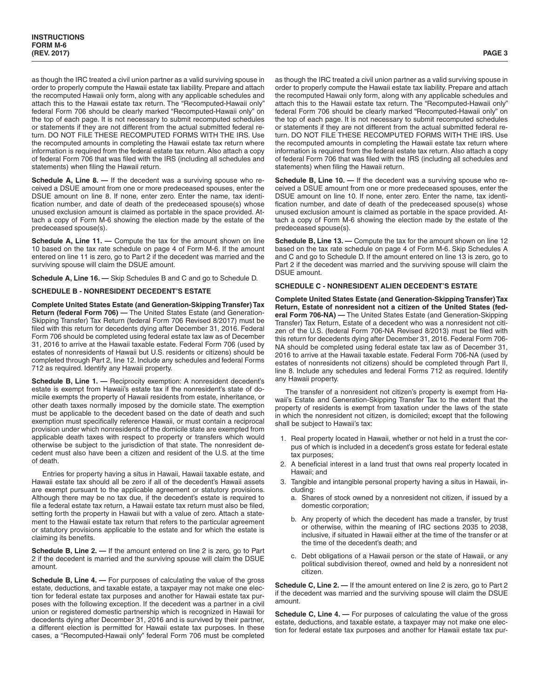as though the IRC treated a civil union partner as a valid surviving spouse in order to properly compute the Hawaii estate tax liability. Prepare and attach the recomputed Hawaii only form, along with any applicable schedules and attach this to the Hawaii estate tax return. The "Recomputed-Hawaii only" federal Form 706 should be clearly marked "Recomputed-Hawaii only" on the top of each page. It is not necessary to submit recomputed schedules or statements if they are not different from the actual submitted federal return. DO NOT FILE THESE RECOMPUTED FORMS WITH THE IRS. Use the recomputed amounts in completing the Hawaii estate tax return where information is required from the federal estate tax return. Also attach a copy of federal Form 706 that was filed with the IRS (including all schedules and statements) when filing the Hawaii return.

**Schedule A, Line 8. —** If the decedent was a surviving spouse who received a DSUE amount from one or more predeceased spouses, enter the DSUE amount on line 8. If none, enter zero. Enter the name, tax identification number, and date of death of the predeceased spouse(s) whose unused exclusion amount is claimed as portable in the space provided. Attach a copy of Form M-6 showing the election made by the estate of the predeceased spouse(s).

**Schedule A, Line 11.** — Compute the tax for the amount shown on line 10 based on the tax rate schedule on page 4 of Form M-6. If the amount entered on line 11 is zero, go to Part 2 if the decedent was married and the surviving spouse will claim the DSUE amount.

**Schedule A, Line 16. —** Skip Schedules B and C and go to Schedule D.

## **SCHEDULE B - NONRESIDENT DECEDENT'S ESTATE**

**Complete United States Estate (and Generation-Skipping Transfer) Tax Return (federal Form 706) —** The United States Estate (and Generation-Skipping Transfer) Tax Return (federal Form 706 Revised 8/2017) must be filed with this return for decedents dying after December 31, 2016. Federal Form 706 should be completed using federal estate tax law as of December 31, 2016 to arrive at the Hawaii taxable estate. Federal Form 706 (used by estates of nonresidents of Hawaii but U.S. residents or citizens) should be completed through Part 2, line 12. Include any schedules and federal Forms 712 as required. Identify any Hawaii property.

**Schedule B, Line 1. —** Reciprocity exemption: A nonresident decedent's estate is exempt from Hawaii's estate tax if the nonresident's state of domicile exempts the property of Hawaii residents from estate, inheritance, or other death taxes normally imposed by the domicile state. The exemption must be applicable to the decedent based on the date of death and such exemption must specifically reference Hawaii, or must contain a reciprocal provision under which nonresidents of the domicile state are exempted from applicable death taxes with respect to property or transfers which would otherwise be subject to the jurisdiction of that state. The nonresident decedent must also have been a citizen and resident of the U.S. at the time of death.

Entries for property having a situs in Hawaii, Hawaii taxable estate, and Hawaii estate tax should all be zero if all of the decedent's Hawaii assets are exempt pursuant to the applicable agreement or statutory provisions. Although there may be no tax due, if the decedent's estate is required to file a federal estate tax return, a Hawaii estate tax return must also be filed, setting forth the property in Hawaii but with a value of zero. Attach a statement to the Hawaii estate tax return that refers to the particular agreement or statutory provisions applicable to the estate and for which the estate is claiming its benefits.

**Schedule B, Line 2. —** If the amount entered on line 2 is zero, go to Part 2 if the decedent is married and the surviving spouse will claim the DSUE amount.

**Schedule B, Line 4.** — For purposes of calculating the value of the gross estate, deductions, and taxable estate, a taxpayer may not make one election for federal estate tax purposes and another for Hawaii estate tax purposes with the following exception. If the decedent was a partner in a civil union or registered domestic partnership which is recognized in Hawaii for decedents dying after December 31, 2016 and is survived by their partner, a different election is permitted for Hawaii estate tax purposes. In these cases, a "Recomputed-Hawaii only" federal Form 706 must be completed as though the IRC treated a civil union partner as a valid surviving spouse in order to properly compute the Hawaii estate tax liability. Prepare and attach the recomputed Hawaii only form, along with any applicable schedules and attach this to the Hawaii estate tax return. The "Recomputed-Hawaii only" federal Form 706 should be clearly marked "Recomputed-Hawaii only" on the top of each page. It is not necessary to submit recomputed schedules or statements if they are not different from the actual submitted federal return. DO NOT FILE THESE RECOMPUTED FORMS WITH THE IRS. Use the recomputed amounts in completing the Hawaii estate tax return where information is required from the federal estate tax return. Also attach a copy of federal Form 706 that was filed with the IRS (including all schedules and statements) when filing the Hawaii return.

**Schedule B, Line 10. —** If the decedent was a surviving spouse who received a DSUE amount from one or more predeceased spouses, enter the DSUE amount on line 10. If none, enter zero. Enter the name, tax identification number, and date of death of the predeceased spouse(s) whose unused exclusion amount is claimed as portable in the space provided. Attach a copy of Form M-6 showing the election made by the estate of the predeceased spouse(s).

**Schedule B, Line 13. —** Compute the tax for the amount shown on line 12 based on the tax rate schedule on page 4 of Form M-6. Skip Schedules A and C and go to Schedule D. If the amount entered on line 13 is zero, go to Part 2 if the decedent was married and the surviving spouse will claim the DSUE amount.

#### **SCHEDULE C - NONRESIDENT ALIEN DECEDENT'S ESTATE**

**Complete United States Estate (and Generation-Skipping Transfer) Tax Return, Estate of nonresident not a citizen of the United States (federal Form 706-NA) —** The United States Estate (and Generation-Skipping Transfer) Tax Return, Estate of a decedent who was a nonresident not citizen of the U.S. (federal Form 706-NA Revised 8/2013) must be filed with this return for decedents dying after December 31, 2016. Federal Form 706- NA should be completed using federal estate tax law as of December 31, 2016 to arrive at the Hawaii taxable estate. Federal Form 706-NA (used by estates of nonresidents not citizens) should be completed through Part II, line 8. Include any schedules and federal Forms 712 as required. Identify any Hawaii property.

The transfer of a nonresident not citizen's property is exempt from Hawaii's Estate and Generation-Skipping Transfer Tax to the extent that the property of residents is exempt from taxation under the laws of the state in which the nonresident not citizen, is domiciled; except that the following shall be subject to Hawaii's tax:

- 1. Real property located in Hawaii, whether or not held in a trust the corpus of which is included in a decedent's gross estate for federal estate tax purposes;
- 2. A beneficial interest in a land trust that owns real property located in Hawaii; and
- 3. Tangible and intangible personal property having a situs in Hawaii, including:
	- a. Shares of stock owned by a nonresident not citizen, if issued by a domestic corporation;
	- b. Any property of which the decedent has made a transfer, by trust or otherwise, within the meaning of IRC sections 2035 to 2038, inclusive, if situated in Hawaii either at the time of the transfer or at the time of the decedent's death; and
	- c. Debt obligations of a Hawaii person or the state of Hawaii, or any political subdivision thereof, owned and held by a nonresident not citizen.

**Schedule C, Line 2. —** If the amount entered on line 2 is zero, go to Part 2 if the decedent was married and the surviving spouse will claim the DSUE amount.

**Schedule C, Line 4. —** For purposes of calculating the value of the gross estate, deductions, and taxable estate, a taxpayer may not make one election for federal estate tax purposes and another for Hawaii estate tax pur